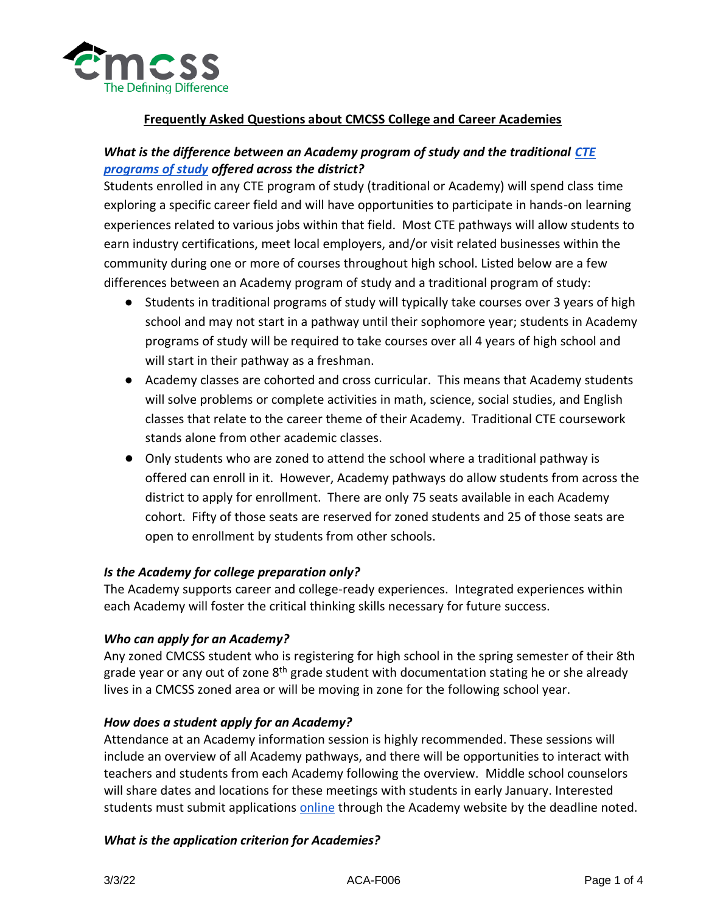

## *What is the difference between an Academy program of study and the traditional [CTE](https://www.cmcss.net/wp-content/uploads/2020/10/Focused-Elective-Group-Options-2020-2021-Sheet1.pdf)  [programs of study](https://www.cmcss.net/wp-content/uploads/2020/10/Focused-Elective-Group-Options-2020-2021-Sheet1.pdf) offered across the district?*

Students enrolled in any CTE program of study (traditional or Academy) will spend class time exploring a specific career field and will have opportunities to participate in hands-on learning experiences related to various jobs within that field. Most CTE pathways will allow students to earn industry certifications, meet local employers, and/or visit related businesses within the community during one or more of courses throughout high school. Listed below are a few differences between an Academy program of study and a traditional program of study:

- Students in traditional programs of study will typically take courses over 3 years of high school and may not start in a pathway until their sophomore year; students in Academy programs of study will be required to take courses over all 4 years of high school and will start in their pathway as a freshman.
- Academy classes are cohorted and cross curricular. This means that Academy students will solve problems or complete activities in math, science, social studies, and English classes that relate to the career theme of their Academy. Traditional CTE coursework stands alone from other academic classes.
- Only students who are zoned to attend the school where a traditional pathway is offered can enroll in it. However, Academy pathways do allow students from across the district to apply for enrollment. There are only 75 seats available in each Academy cohort. Fifty of those seats are reserved for zoned students and 25 of those seats are open to enrollment by students from other schools.

#### *Is the Academy for college preparation only?*

The Academy supports career and college-ready experiences. Integrated experiences within each Academy will foster the critical thinking skills necessary for future success.

#### *Who can apply for an Academy?*

Any zoned CMCSS student who is registering for high school in the spring semester of their 8th grade year or any out of zone  $8<sup>th</sup>$  grade student with documentation stating he or she already lives in a CMCSS zoned area or will be moving in zone for the following school year.

#### *How does a student apply for an Academy?*

Attendance at an Academy information session is highly recommended. These sessions will include an overview of all Academy pathways, and there will be opportunities to interact with teachers and students from each Academy following the overview. Middle school counselors will share dates and locations for these meetings with students in early January. Interested students must submit applications [online](https://www.cmcss.net/academies/) through the Academy website by the deadline noted.

#### *What is the application criterion for Academies?*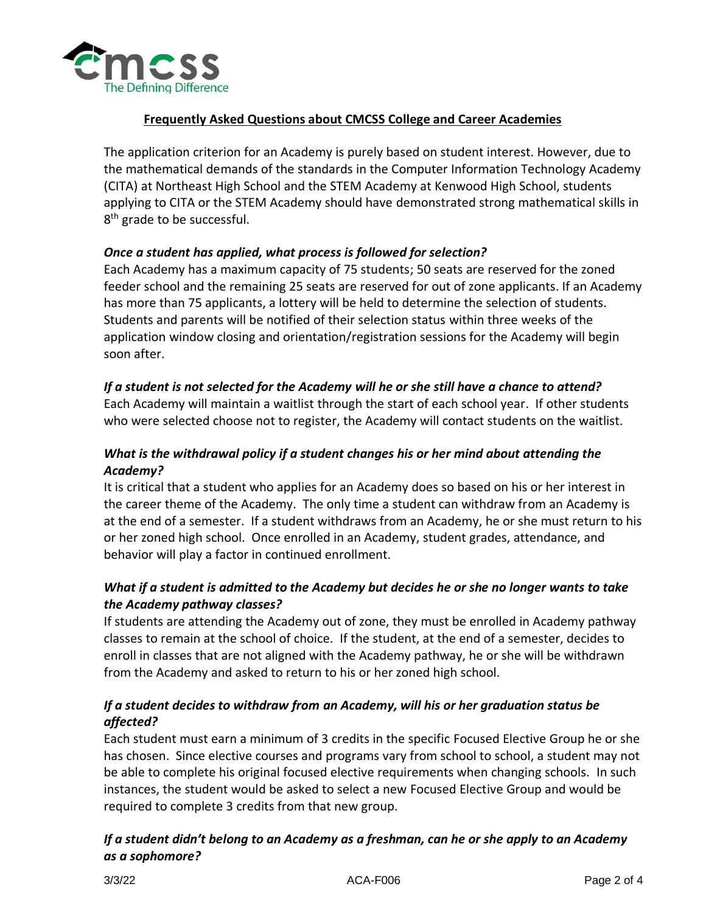

The application criterion for an Academy is purely based on student interest. However, due to the mathematical demands of the standards in the Computer Information Technology Academy (CITA) at Northeast High School and the STEM Academy at Kenwood High School, students applying to CITA or the STEM Academy should have demonstrated strong mathematical skills in 8<sup>th</sup> grade to be successful.

#### *Once a student has applied, what process is followed for selection?*

Each Academy has a maximum capacity of 75 students; 50 seats are reserved for the zoned feeder school and the remaining 25 seats are reserved for out of zone applicants. If an Academy has more than 75 applicants, a lottery will be held to determine the selection of students. Students and parents will be notified of their selection status within three weeks of the application window closing and orientation/registration sessions for the Academy will begin soon after.

#### *If a student is not selected for the Academy will he or she still have a chance to attend?*

Each Academy will maintain a waitlist through the start of each school year. If other students who were selected choose not to register, the Academy will contact students on the waitlist.

# *What is the withdrawal policy if a student changes his or her mind about attending the Academy?*

It is critical that a student who applies for an Academy does so based on his or her interest in the career theme of the Academy. The only time a student can withdraw from an Academy is at the end of a semester. If a student withdraws from an Academy, he or she must return to his or her zoned high school. Once enrolled in an Academy, student grades, attendance, and behavior will play a factor in continued enrollment.

# *What if a student is admitted to the Academy but decides he or she no longer wants to take the Academy pathway classes?*

If students are attending the Academy out of zone, they must be enrolled in Academy pathway classes to remain at the school of choice. If the student, at the end of a semester, decides to enroll in classes that are not aligned with the Academy pathway, he or she will be withdrawn from the Academy and asked to return to his or her zoned high school.

### *If a student decides to withdraw from an Academy, will his or her graduation status be affected?*

Each student must earn a minimum of 3 credits in the specific Focused Elective Group he or she has chosen. Since elective courses and programs vary from school to school, a student may not be able to complete his original focused elective requirements when changing schools. In such instances, the student would be asked to select a new Focused Elective Group and would be required to complete 3 credits from that new group.

### *If a student didn't belong to an Academy as a freshman, can he or she apply to an Academy as a sophomore?*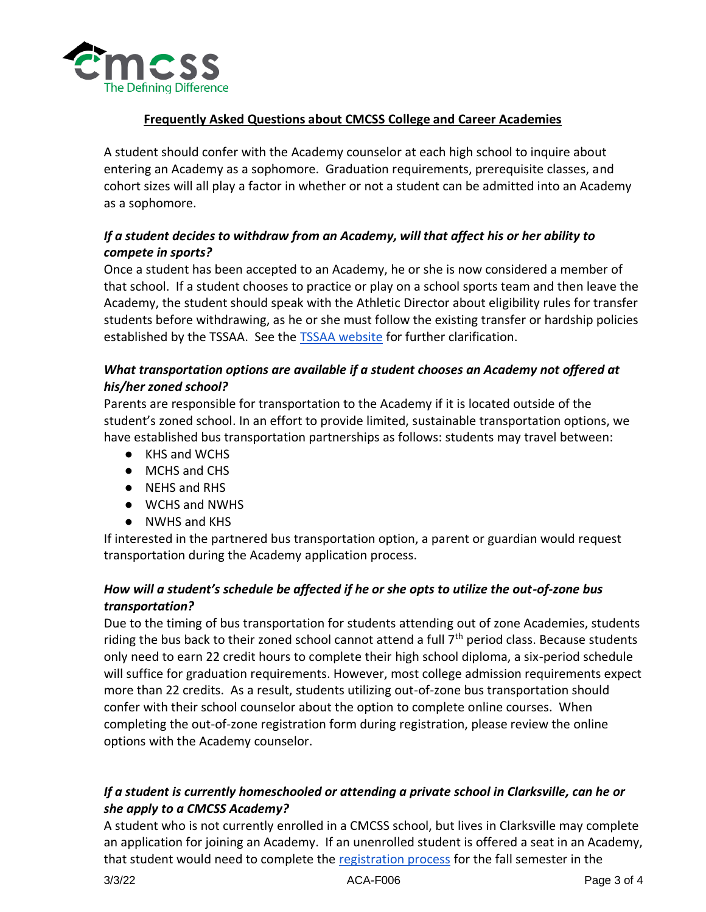

A student should confer with the Academy counselor at each high school to inquire about entering an Academy as a sophomore. Graduation requirements, prerequisite classes, and cohort sizes will all play a factor in whether or not a student can be admitted into an Academy as a sophomore.

# *If a student decides to withdraw from an Academy, will that affect his or her ability to compete in sports?*

Once a student has been accepted to an Academy, he or she is now considered a member of that school. If a student chooses to practice or play on a school sports team and then leave the Academy, the student should speak with the Athletic Director about eligibility rules for transfer students before withdrawing, as he or she must follow the existing transfer or hardship policies established by the TSSAA. See the [TSSAA website](http://www.tssaa.org/) for further clarification.

# *What transportation options are available if a student chooses an Academy not offered at his/her zoned school?*

Parents are responsible for transportation to the Academy if it is located outside of the student's zoned school. In an effort to provide limited, sustainable transportation options, we have established bus transportation partnerships as follows: students may travel between:

- KHS and WCHS
- MCHS and CHS
- NEHS and RHS
- WCHS and NWHS
- NWHS and KHS

If interested in the partnered bus transportation option, a parent or guardian would request transportation during the Academy application process.

# *How will a student's schedule be affected if he or she opts to utilize the out-of-zone bus transportation?*

Due to the timing of bus transportation for students attending out of zone Academies, students riding the bus back to their zoned school cannot attend a full  $7<sup>th</sup>$  period class. Because students only need to earn 22 credit hours to complete their high school diploma, a six-period schedule will suffice for graduation requirements. However, most college admission requirements expect more than 22 credits. As a result, students utilizing out-of-zone bus transportation should confer with their school counselor about the option to complete online courses. When completing the out-of-zone registration form during registration, please review the online options with the Academy counselor.

# *If a student is currently homeschooled or attending a private school in Clarksville, can he or she apply to a CMCSS Academy?*

A student who is not currently enrolled in a CMCSS school, but lives in Clarksville may complete an application for joining an Academy. If an unenrolled student is offered a seat in an Academy, that student would need to complete the [registration process](https://www.cmcss.net/registration/) for the fall semester in the